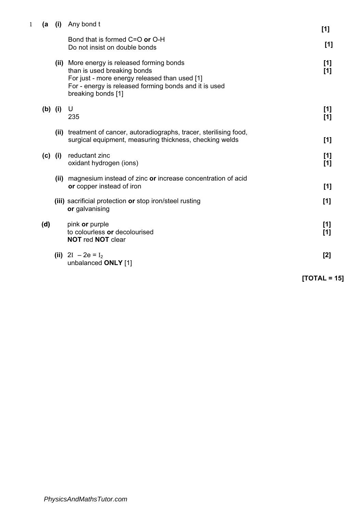| 1 | (a        | (i) | Any bond t                                                                                                                                                                                                | [1]          |
|---|-----------|-----|-----------------------------------------------------------------------------------------------------------------------------------------------------------------------------------------------------------|--------------|
|   |           |     | Bond that is formed C=O or O-H<br>Do not insist on double bonds                                                                                                                                           | [1]          |
|   |           |     | (ii) More energy is released forming bonds<br>than is used breaking bonds<br>For just - more energy released than used [1]<br>For - energy is released forming bonds and it is used<br>breaking bonds [1] | [1]<br>$[1]$ |
|   | $(b)$ (i) |     | U<br>235                                                                                                                                                                                                  | $[1]$<br>[1] |
|   |           |     | (ii) treatment of cancer, autoradiographs, tracer, sterilising food,<br>surgical equipment, measuring thickness, checking welds                                                                           | [1]          |
|   | $(c)$ (i) |     | reductant zinc<br>oxidant hydrogen (ions)                                                                                                                                                                 | [1]<br>$[1]$ |
|   |           |     | (ii) magnesium instead of zinc or increase concentration of acid<br>or copper instead of iron                                                                                                             | [1]          |
|   |           |     | (iii) sacrificial protection or stop iron/steel rusting<br>or galvanising                                                                                                                                 | [1]          |
|   | (d)       |     | pink or purple<br>to colourless or decolourised<br><b>NOT red NOT clear</b>                                                                                                                               | [1]<br>[1]   |
|   |           |     | (iii) $2I - 2e = I_2$<br>unbalanced ONLY [1]                                                                                                                                                              | $[2]$        |

 $[TOTAL = 15]$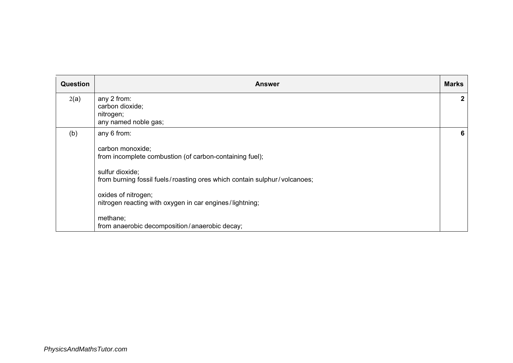| <b>Question</b> | <b>Answer</b>                                                                                                                                                                                                                                                                                                                            | <b>Marks</b> |
|-----------------|------------------------------------------------------------------------------------------------------------------------------------------------------------------------------------------------------------------------------------------------------------------------------------------------------------------------------------------|--------------|
| 2(a)            | any 2 from:<br>carbon dioxide;<br>nitrogen;<br>any named noble gas;                                                                                                                                                                                                                                                                      | 2            |
| (b)             | any 6 from:<br>carbon monoxide;<br>from incomplete combustion (of carbon-containing fuel);<br>sulfur dioxide;<br>from burning fossil fuels/roasting ores which contain sulphur/volcanoes;<br>oxides of nitrogen;<br>nitrogen reacting with oxygen in car engines/lightning;<br>methane;<br>from anaerobic decomposition/anaerobic decay; | 6            |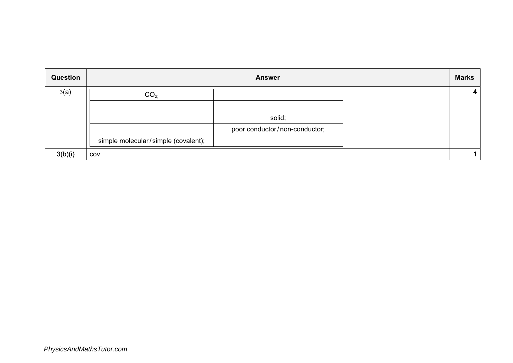| Question | <b>Answer</b>                       |                               | <b>Marks</b>            |
|----------|-------------------------------------|-------------------------------|-------------------------|
| 3(a)     | CO <sub>2</sub>                     |                               | $\overline{\mathbf{4}}$ |
|          |                                     | solid;                        |                         |
|          |                                     | poor conductor/non-conductor; |                         |
|          | simple molecular/simple (covalent); |                               |                         |
| 3(b)(i)  | COV                                 |                               |                         |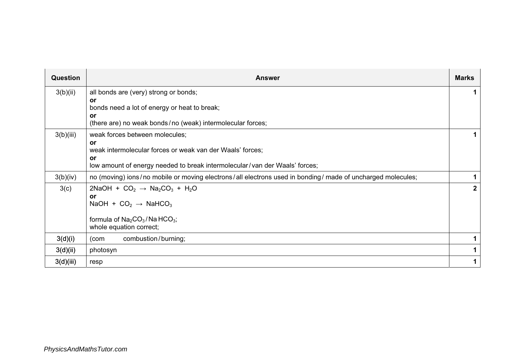| <b>Question</b> | <b>Answer</b>                                                                                                                                                                                    | <b>Marks</b> |
|-----------------|--------------------------------------------------------------------------------------------------------------------------------------------------------------------------------------------------|--------------|
| 3(b)(ii)        | all bonds are (very) strong or bonds;<br>or<br>bonds need a lot of energy or heat to break;<br>or<br>(there are) no weak bonds/no (weak) intermolecular forces;                                  |              |
| 3(b)(iii)       | weak forces between molecules;<br>or<br>weak intermolecular forces or weak van der Waals' forces;<br>or<br>low amount of energy needed to break intermolecular/van der Waals' forces;            |              |
| 3(b)(iv)        | no (moving) ions/no mobile or moving electrons/all electrons used in bonding/ made of uncharged molecules;                                                                                       |              |
| 3(c)            | 2NaOH + $CO2$ $\rightarrow$ Na <sub>2</sub> CO <sub>3</sub> + H <sub>2</sub> O<br>or<br>NaOH + $CO2$ $\rightarrow$ NaHCO <sub>3</sub><br>formula of $Na2CO3/Na HCO3;$<br>whole equation correct; | $2^{\circ}$  |
| 3(d)(i)         | combustion/burning;<br>(com                                                                                                                                                                      | 1            |
| 3(d)(ii)        | photosyn                                                                                                                                                                                         |              |
| 3(d)(iii)       | resp                                                                                                                                                                                             | 1            |